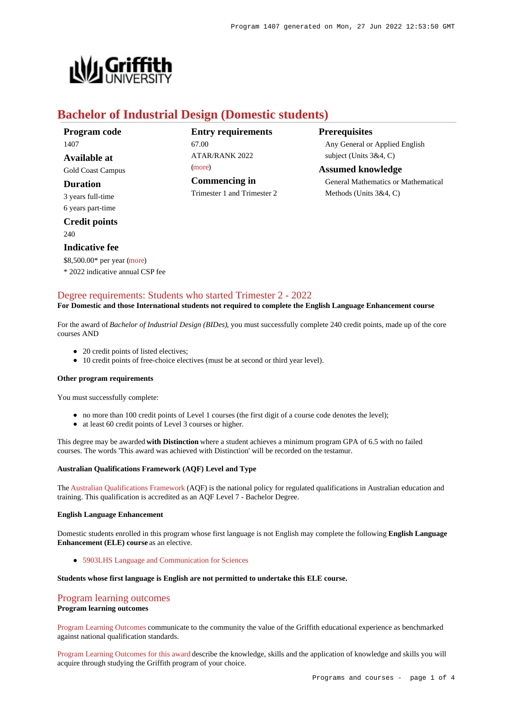

# **Bachelor of Industrial Design (Domestic students)**

| Program code             |
|--------------------------|
| 1407                     |
| Available at             |
| <b>Gold Coast Campus</b> |
| Duration                 |

3 years full-time 6 years part-time

# **Credit points** 240

#### **Indicative fee**

\$8,500.00\* per year [\(more](https://www148.griffith.edu.au/programs-courses/Program/1407/Overview/Domestic#fees))

\* 2022 indicative annual CSP fee

# **Entry requirements** 67.00

ATAR/RANK 2022 [\(more](https://www148.griffith.edu.au/programs-courses/Program/1407/HowToApply/Domestic#tac-entry-requirements)) **Commencing in**

Trimester 1 and Trimester 2

## **Prerequisites**

Any General or Applied English subject (Units 3&4, C)

## **Assumed knowledge**

General Mathematics or Mathematical Methods (Units 3&4, C)

# [Degree requirements: Students who started Trimester 2 - 2022](https://www148.griffith.edu.au/programs-courses/Program/1407/Courses/Domestic#degree-requirements)

#### **For Domestic and those International students not required to complete the English Language Enhancement course**

For the award of *Bachelor of Industrial Design (BIDes)*, you must successfully complete 240 credit points, made up of the core courses AND

- 20 credit points of listed electives;
- 10 credit points of free-choice electives (must be at second or third year level).

#### **Other program requirements**

You must successfully complete:

- no more than 100 credit points of Level 1 courses (the first digit of a course code denotes the level);
- at least 60 credit points of Level 3 courses or higher.

This degree may be awarded **with Distinction** where a student achieves a minimum program GPA of 6.5 with no failed courses. The words 'This award was achieved with Distinction' will be recorded on the testamur.

#### **Australian Qualifications Framework (AQF) Level and Type**

The [Australian Qualifications Framework](http://www.aqf.edu.au/) (AQF) is the national policy for regulated qualifications in Australian education and training. This qualification is accredited as an AQF Level 7 - Bachelor Degree.

#### **English Language Enhancement**

Domestic students enrolled in this program whose first language is not English may complete the following **English Language Enhancement (ELE) course** as an elective.

[5903LHS Language and Communication for Sciences](https://www148.griffith.edu.au/Course/5903LHS)

#### **Students whose first language is English are not permitted to undertake this ELE course.**

# [Program learning outcomes](https://www148.griffith.edu.au/programs-courses/Program/1407/Courses/Domestic#programLearningOutcomes)

#### **Program learning outcomes**

[Program Learning Outcomes](https://www.griffith.edu.au/__data/assets/pdf_file/0017/134522/PLO-general-advice.pdf) communicate to the community the value of the Griffith educational experience as benchmarked against national qualification standards.

[Program Learning Outcomes for this award](https://www.griffith.edu.au/__data/assets/pdf_file/0014/301217/BIndustrial-Design-PLO-L7.pdf) describe the knowledge, skills and the application of knowledge and skills you will acquire through studying the Griffith program of your choice.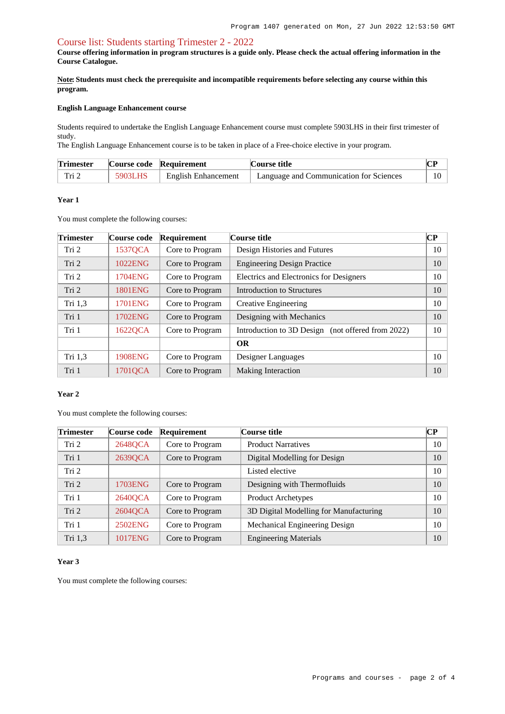### [Course list: Students starting Trimester 2 - 2022](https://www148.griffith.edu.au/programs-courses/Program/1407/Courses/Domestic#course-list-content)

**Course offering information in program structures is a guide only. Please check the actual offering information in the Course Catalogue.**

**Note: Students must check the prerequisite and incompatible requirements before selecting any course within this program.**

#### **English Language Enhancement course**

Students required to undertake the English Language Enhancement course must complete 5903LHS in their first trimester of study.

The English Language Enhancement course is to be taken in place of a Free-choice elective in your program.

| <b>Trimester</b>                   |         | Course code Requirement    | <b>Course title</b>                     |    |
|------------------------------------|---------|----------------------------|-----------------------------------------|----|
| $\mathop{\rm Tri}\nolimits_\angle$ | 5903LHS | <b>English Enhancement</b> | Language and Communication for Sciences | 10 |

### **Year 1**

You must complete the following courses:

| <b>Trimester</b> | Course code    | Requirement     | Course title                                      | $\bf CP$ |
|------------------|----------------|-----------------|---------------------------------------------------|----------|
| Tri 2            | 1537QCA        | Core to Program | Design Histories and Futures                      | 10       |
| Tri 2            | 1022ENG        | Core to Program | <b>Engineering Design Practice</b>                | 10       |
| Tri 2            | 1704ENG        | Core to Program | Electrics and Electronics for Designers           | 10       |
| Tri 2            | <b>1801ENG</b> | Core to Program | Introduction to Structures                        | 10       |
| Tri 1,3          | 1701ENG        | Core to Program | Creative Engineering                              | 10       |
| Tri 1            | 1702ENG        | Core to Program | Designing with Mechanics                          | 10       |
| Tri 1            | 1622QCA        | Core to Program | Introduction to 3D Design (not offered from 2022) | 10       |
|                  |                |                 | <b>OR</b>                                         |          |
| Tri 1,3          | <b>1908ENG</b> | Core to Program | Designer Languages                                | 10       |
| Tri 1            | 1701QCA        | Core to Program | <b>Making Interaction</b>                         | 10       |

## **Year 2**

You must complete the following courses:

| Trimester        | Course code | <b>Requirement</b> | Course title                           | CР |
|------------------|-------------|--------------------|----------------------------------------|----|
| Tri 2            | 2648QCA     | Core to Program    | <b>Product Narratives</b>              | 10 |
| Tri 1            | 2639QCA     | Core to Program    | Digital Modelling for Design           | 10 |
| Tri <sub>2</sub> |             |                    | Listed elective                        | 10 |
| Tri 2            | 1703ENG     | Core to Program    | Designing with Thermofluids            | 10 |
| Tri 1            | 2640QCA     | Core to Program    | Product Archetypes                     | 10 |
| Tri 2            | 2604QCA     | Core to Program    | 3D Digital Modelling for Manufacturing | 10 |
| Tri 1            | 2502ENG     | Core to Program    | Mechanical Engineering Design          | 10 |
| Tri 1,3          | 1017ENG     | Core to Program    | <b>Engineering Materials</b>           | 10 |

#### **Year 3**

You must complete the following courses: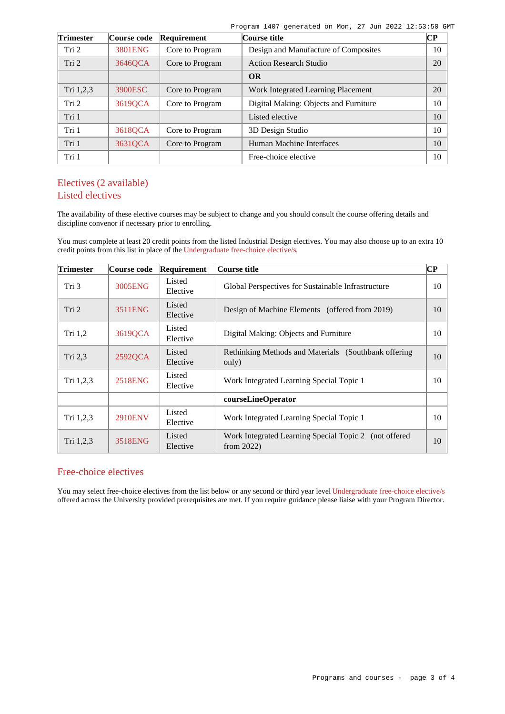Program 1407 generated on Mon, 27 Jun 2022 12:53:50 GMT

| <b>Trimester</b> | Course code | Requirement     | Course title                          | $\overline{\mathbf{CP}}$ |
|------------------|-------------|-----------------|---------------------------------------|--------------------------|
| Tri 2            | 3801ENG     | Core to Program | Design and Manufacture of Composites  | 10                       |
| Tri 2            | 3646QCA     | Core to Program | <b>Action Research Studio</b>         | 20                       |
|                  |             |                 | <b>OR</b>                             |                          |
| Tri 1,2,3        | 3900ESC     | Core to Program | Work Integrated Learning Placement    | 20                       |
| Tri 2            | 3619QCA     | Core to Program | Digital Making: Objects and Furniture | 10                       |
| Tri 1            |             |                 | Listed elective                       | 10                       |
| Tri 1            | 36180CA     | Core to Program | 3D Design Studio                      | 10                       |
| Tri 1            | 3631QCA     | Core to Program | Human Machine Interfaces              | 10                       |
| Tri 1            |             |                 | Free-choice elective                  | 10                       |

# Electives (2 available) Listed electives

The availability of these elective courses may be subject to change and you should consult the course offering details and discipline convenor if necessary prior to enrolling.

You must complete at least 20 credit points from the listed Industrial Design electives. You may also choose up to an extra 10 credit points from this list in place of the [Undergraduate free-choice elective/s](https://www148.griffith.edu.au/programs-courses/Search/Results?SearchRequestType=CourseCatalogue&AcademicCareerName=UGRD&IsFreeChoiceElective=True).

| <b>Trimester</b> | Course code    | Requirement        | Course title                                                               | $\overline{\mathbf{CP}}$ |
|------------------|----------------|--------------------|----------------------------------------------------------------------------|--------------------------|
| Tri 3            | 3005ENG        | Listed<br>Elective | Global Perspectives for Sustainable Infrastructure                         | 10                       |
| Tri 2            | 3511ENG        | Listed<br>Elective | Design of Machine Elements (offered from 2019)                             | 10                       |
| Tri 1,2          | 3619QCA        | Listed<br>Elective | Digital Making: Objects and Furniture                                      | 10                       |
| Tri $2,3$        | 2592QCA        | Listed<br>Elective | Rethinking Methods and Materials (Southbank offering)<br>only)             | 10                       |
| Tri 1,2,3        | 2518ENG        | Listed<br>Elective | Work Integrated Learning Special Topic 1                                   | 10                       |
|                  |                |                    | courseLineOperator                                                         |                          |
| Tri 1,2,3        | <b>2910ENV</b> | Listed<br>Elective | Work Integrated Learning Special Topic 1                                   | 10                       |
| Tri 1,2,3        | 3518ENG        | Listed<br>Elective | Work Integrated Learning Special Topic 2<br>(not offered)<br>from $2022$ ) | 10                       |

# Free-choice electives

You may select free-choice electives from the list below or any second or third year level [Undergraduate free-choice elective/s](https://www148.griffith.edu.au/programs-courses/Search/Results?SearchRequestType=CourseCatalogue&AcademicCareerName=UGRD&IsFreeChoiceElective=True) offered across the University provided prerequisites are met. If you require guidance please liaise with your Program Director.